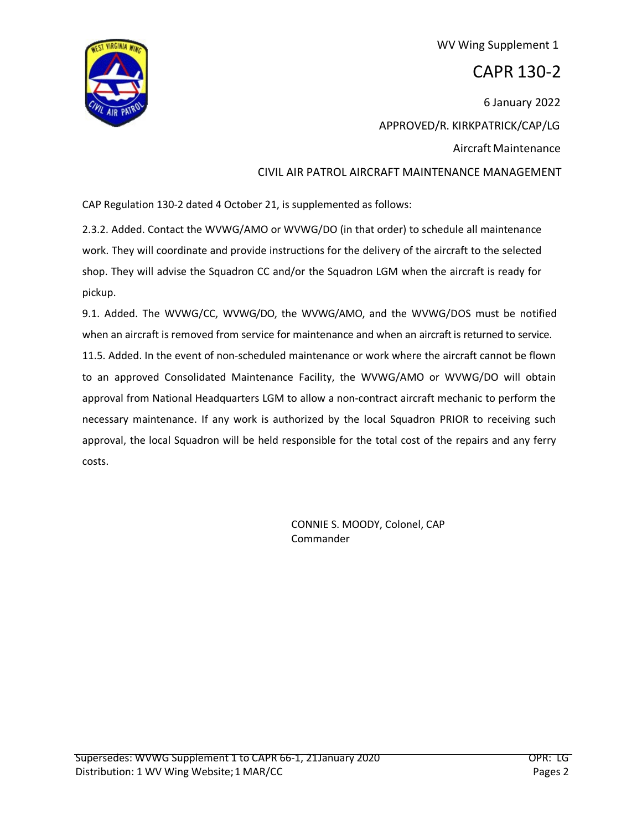

## WV Wing Supplement 1

## CAPR 130-2

6 January 2022 APPROVED/R. KIRKPATRICK/CAP/LG Aircraft Maintenance CIVIL AIR PATROL AIRCRAFT MAINTENANCE MANAGEMENT

CAP Regulation 130-2 dated 4 October 21, is supplemented as follows:

2.3.2. Added. Contact the WVWG/AMO or WVWG/DO (in that order) to schedule all maintenance work. They will coordinate and provide instructions for the delivery of the aircraft to the selected shop. They will advise the Squadron CC and/or the Squadron LGM when the aircraft is ready for pickup.

9.1. Added. The WVWG/CC, WVWG/DO, the WVWG/AMO, and the WVWG/DOS must be notified when an aircraft is removed from service for maintenance and when an aircraft is returned to service. 11.5. Added. In the event of non-scheduled maintenance or work where the aircraft cannot be flown to an approved Consolidated Maintenance Facility, the WVWG/AMO or WVWG/DO will obtain approval from National Headquarters LGM to allow a non-contract aircraft mechanic to perform the necessary maintenance. If any work is authorized by the local Squadron PRIOR to receiving such approval, the local Squadron will be held responsible for the total cost of the repairs and any ferry costs.

> CONNIE S. MOODY, Colonel, CAP Commander